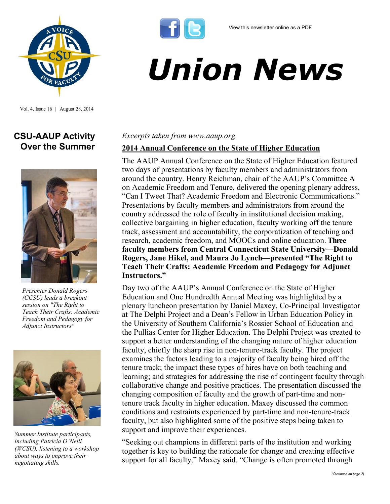*Union News*



Vol. 4, Issue 16 | August 28, 2014

# **CSU-AAUP Activity Over the Summer**



*Presenter Donald Rogers (CCSU) leads a breakout session on "The Right to Teach Their Crafts: Academic Freedom and Pedagogy for Adjunct Instructors"* 



*Summer Institute participants, including Patricia O'Neill (WCSU), listening to a workshop about ways to improve their negotiating skills.* 

#### *Excerpts taken from www.aaup.org*

#### **2014 Annual Conference on the State of Higher Education**

The AAUP Annual Conference on the State of Higher Education featured two days of presentations by faculty members and administrators from around the country. Henry Reichman, chair of the AAUP's Committee A on Academic Freedom and Tenure, delivered the opening plenary address, "Can I Tweet That? Academic Freedom and Electronic Communications." Presentations by faculty members and administrators from around the country addressed the role of faculty in institutional decision making, collective bargaining in higher education, faculty working off the tenure track, assessment and accountability, the corporatization of teaching and research, academic freedom, and MOOCs and online education. **Three faculty members from Central Connecticut State University—Donald Rogers, Jane Hikel, and Maura Jo Lynch—presented "The Right to Teach Their Crafts: Academic Freedom and Pedagogy for Adjunct Instructors."** 

Day two of the AAUP's Annual Conference on the State of Higher Education and One Hundredth Annual Meeting was highlighted by a plenary luncheon presentation by Daniel Maxey, Co-Principal Investigator at The Delphi Project and a Dean's Fellow in Urban Education Policy in the University of Southern California's Rossier School of Education and the Pullias Center for Higher Education. The Delphi Project was created to support a better understanding of the changing nature of higher education faculty, chiefly the sharp rise in non-tenure-track faculty. The project examines the factors leading to a majority of faculty being hired off the tenure track; the impact these types of hires have on both teaching and learning; and strategies for addressing the rise of contingent faculty through collaborative change and positive practices. The presentation discussed the changing composition of faculty and the growth of part-time and nontenure track faculty in higher education. Maxey discussed the common conditions and restraints experienced by part-time and non-tenure-track faculty, but also highlighted some of the positive steps being taken to support and improve their experiences.

"Seeking out champions in different parts of the institution and working together is key to building the rationale for change and creating effective support for all faculty," Maxey said. "Change is often promoted through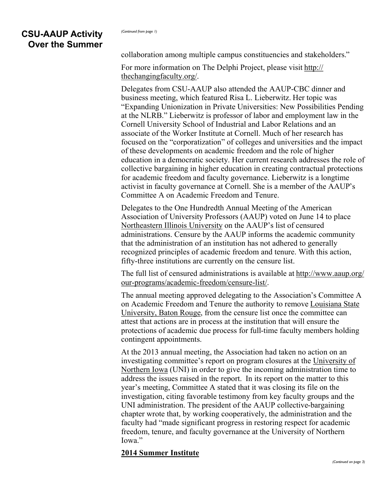collaboration among multiple campus constituencies and stakeholders."

For more information on The Delphi Project, please visit [http://](http://thechangingfaculty.org/) [thechangingfaculty.org/.](http://thechangingfaculty.org/)

Delegates from CSU-AAUP also attended the AAUP-CBC dinner and business meeting, which featured Risa L. Lieberwitz. Her topic was "Expanding Unionization in Private Universities: New Possibilities Pending at the NLRB." Lieberwitz is professor of labor and employment law in the Cornell University School of Industrial and Labor Relations and an associate of the Worker Institute at Cornell. Much of her research has focused on the "corporatization" of colleges and universities and the impact of these developments on academic freedom and the role of higher education in a democratic society. Her current research addresses the role of collective bargaining in higher education in creating contractual protections for academic freedom and faculty governance. Lieberwitz is a longtime activist in faculty governance at Cornell. She is a member of the AAUP's Committee A on Academic Freedom and Tenure.

Delegates to the One Hundredth Annual Meeting of the American Association of University Professors (AAUP) voted on June 14 to place [Northeastern Illinois University](http://www.aaup.org/report/academic-freedom-and-tenure-NEIU) on the AAUP's list of censured administrations. Censure by the AAUP informs the academic community that the administration of an institution has not adhered to generally recognized principles of academic freedom and tenure. With this action, fifty-three institutions are currently on the censure list.

The full list of censured administrations is available at [http://www.aaup.org/](http://www.aaup.org/our-programs/academic-freedom/censure-list/) our-[programs/academic](http://www.aaup.org/our-programs/academic-freedom/censure-list/)-freedom/censure-list/.

The annual meeting approved delegating to the Association's Committee A on Academic Freedom and Tenure the authority to remove [Louisiana State](http://www.aaup.org/sites/default/files/files/LSU_Statement2014.pdf)  [University, Baton Rouge,](http://www.aaup.org/sites/default/files/files/LSU_Statement2014.pdf) from the censure list once the committee can attest that actions are in process at the institution that will ensure the protections of academic due process for full-time faculty members holding contingent appointments.

At the 2013 annual meeting, the Association had taken no action on an investigating committee's report on program closures at the [University of](http://www.aaup.org/sites/default/files/files/UNI_Censure_Deferral_Report.pdf)  [Northern Iowa](http://www.aaup.org/sites/default/files/files/UNI_Censure_Deferral_Report.pdf) (UNI) in order to give the incoming administration time to address the issues raised in the report. In its report on the matter to this year's meeting, Committee A stated that it was closing its file on the investigation, citing favorable testimony from key faculty groups and the UNI administration. The president of the AAUP collective-bargaining chapter wrote that, by working cooperatively, the administration and the faculty had "made significant progress in restoring respect for academic freedom, tenure, and faculty governance at the University of Northern Iowa"

#### **2014 Summer Institute**